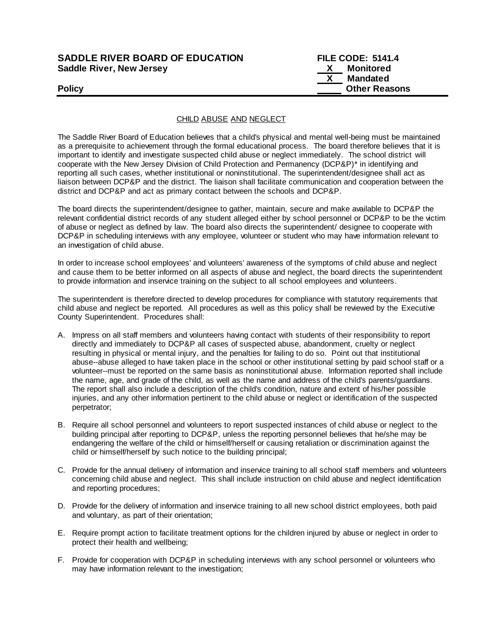## **SADDLE RIVER BOARD OF EDUCATION FILE CODE: 5141.4 Saddle River, New Jersey X Monitored**

 **X Mandated Policy Policy Policy Other Reasons** 

### CHILD ABUSE AND NEGLECT

The Saddle River Board of Education believes that a child's physical and mental well-being must be maintained as a prerequisite to achievement through the formal educational process. The board therefore believes that it is important to identify and investigate suspected child abuse or neglect immediately. The school district will cooperate with the New Jersey Division of Child Protection and Permanency (DCP&P)\* in identifying and reporting all such cases, whether institutional or noninstitutional. The superintendent/designee shall act as liaison between DCP&P and the district. The liaison shall facilitate communication and cooperation between the district and DCP&P and act as primary contact between the schools and DCP&P.

The board directs the superintendent/designee to gather, maintain, secure and make available to DCP&P the relevant confidential district records of any student alleged either by school personnel or DCP&P to be the victim of abuse or neglect as defined by law. The board also directs the superintendent/ designee to cooperate with DCP&P in scheduling interviews with any employee, volunteer or student who may have information relevant to an investigation of child abuse.

In order to increase school employees' and volunteers' awareness of the symptoms of child abuse and neglect and cause them to be better informed on all aspects of abuse and neglect, the board directs the superintendent to provide information and inservice training on the subject to all school employees and volunteers.

The superintendent is therefore directed to develop procedures for compliance with statutory requirements that child abuse and neglect be reported. All procedures as well as this policy shall be reviewed by the Executive County Superintendent. Procedures shall:

- A. Impress on all staff members and volunteers having contact with students of their responsibility to report directly and immediately to DCP&P all cases of suspected abuse, abandonment, cruelty or neglect resulting in physical or mental injury, and the penalties for failing to do so. Point out that institutional abuse--abuse alleged to have taken place in the school or other institutional setting by paid school staff or a volunteer--must be reported on the same basis as noninstitutional abuse. Information reported shall include the name, age, and grade of the child, as well as the name and address of the child's parents/guardians. The report shall also include a description of the child's condition, nature and extent of his/her possible injuries, and any other information pertinent to the child abuse or neglect or identification of the suspected perpetrator;
- B. Require all school personnel and volunteers to report suspected instances of child abuse or neglect to the building principal after reporting to DCP&P, unless the reporting personnel believes that he/she may be endangering the welfare of the child or himself/herself or causing retaliation or discrimination against the child or himself/herself by such notice to the building principal;
- C. Provide for the annual delivery of information and inservice training to all school staff members and volunteers concerning child abuse and neglect. This shall include instruction on child abuse and neglect identification and reporting procedures;
- D. Provide for the delivery of information and inservice training to all new school district employees, both paid and voluntary, as part of their orientation;
- E. Require prompt action to facilitate treatment options for the children injured by abuse or neglect in order to protect their health and wellbeing;
- F. Provide for cooperation with DCP&P in scheduling interviews with any school personnel or volunteers who may have information relevant to the investigation;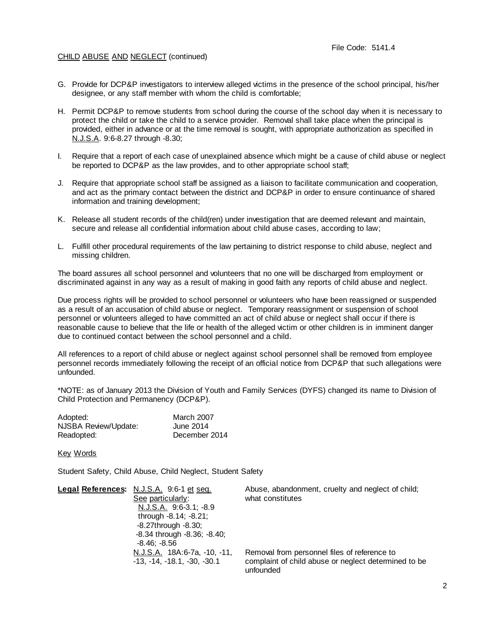### CHILD ABUSE AND NEGLECT (continued)

- G. Provide for DCP&P investigators to interview alleged victims in the presence of the school principal, his/her designee, or any staff member with whom the child is comfortable;
- H. Permit DCP&P to remove students from school during the course of the school day when it is necessary to protect the child or take the child to a service provider. Removal shall take place when the principal is provided, either in advance or at the time removal is sought, with appropriate authorization as specified in N.J.S.A. 9:6-8.27 through -8.30;
- I. Require that a report of each case of unexplained absence which might be a cause of child abuse or neglect be reported to DCP&P as the law provides, and to other appropriate school staff;
- J. Require that appropriate school staff be assigned as a liaison to facilitate communication and cooperation, and act as the primary contact between the district and DCP&P in order to ensure continuance of shared information and training development;
- K. Release all student records of the child(ren) under investigation that are deemed relevant and maintain, secure and release all confidential information about child abuse cases, according to law;
- L. Fulfill other procedural requirements of the law pertaining to district response to child abuse, neglect and missing children.

The board assures all school personnel and volunteers that no one will be discharged from employment or discriminated against in any way as a result of making in good faith any reports of child abuse and neglect.

Due process rights will be provided to school personnel or volunteers who have been reassigned or suspended as a result of an accusation of child abuse or neglect. Temporary reassignment or suspension of school personnel or volunteers alleged to have committed an act of child abuse or neglect shall occur if there is reasonable cause to believe that the life or health of the alleged victim or other children is in imminent danger due to continued contact between the school personnel and a child.

All references to a report of child abuse or neglect against school personnel shall be removed from employee personnel records immediately following the receipt of an official notice from DCP&P that such allegations were unfounded.

\*NOTE: as of January 2013 the Division of Youth and Family Services (DYFS) changed its name to Division of Child Protection and Permanency (DCP&P).

| Adopted:             | <b>March 2007</b> |
|----------------------|-------------------|
| NJSBA Review/Update: | June 2014         |
| Readopted:           | December 2014     |

#### Key Words

Student Safety, Child Abuse, Child Neglect, Student Safety

| Legal References: N.J.S.A. 9:6-1 et seq. | Abuse, abandonment, cruelty and neglect of child;    |
|------------------------------------------|------------------------------------------------------|
| See particularly:                        | what constitutes                                     |
| N.J.S.A. 9:6-3.1; -8.9                   |                                                      |
| through $-8.14$ ; $-8.21$ ;              |                                                      |
| $-8.27$ through $-8.30$ ;                |                                                      |
| $-8.34$ through $-8.36$ ; $-8.40$ ;      |                                                      |
| -8.46: -8.56                             |                                                      |
| N.J.S.A. 18A:6-7a, -10, -11,             | Removal from personnel files of reference to         |
| $-13, -14, -18.1, -30, -30.1$            | complaint of child abuse or neglect determined to be |
|                                          | unfounded                                            |